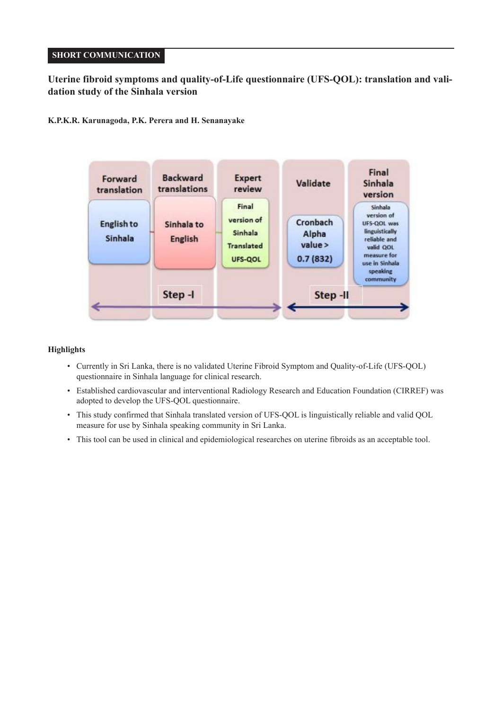# **SHORT COMMUNICATION**

# **Uterine fibroid symptoms and quality-of-Life questionnaire (UFS-QOL): translation and validation study of the Sinhala version**

# **K.P.K.R. Karunagoda, P.K. Perera and H. Senanayake**



## **Highlights**

- Currently in Sri Lanka, there is no validated Uterine Fibroid Symptom and Quality-of-Life (UFS-QOL) questionnaire in Sinhala language for clinical research.
- Established cardiovascular and interventional Radiology Research and Education Foundation (CIRREF) was adopted to develop the UFS-QOL questionnaire.
- This study confirmed that Sinhala translated version of UFS-QOL is linguistically reliable and valid QOL measure for use by Sinhala speaking community in Sri Lanka.
- This tool can be used in clinical and epidemiological researches on uterine fibroids as an acceptable tool.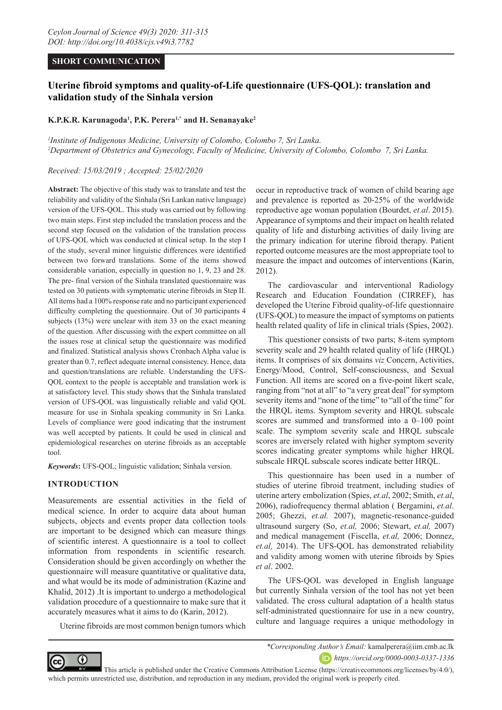## **SHORT COMMUNICATION**

# **Uterine fibroid symptoms and quality-of-Life questionnaire (UFS-QOL): translation and validation study of the Sinhala version**

## **K.P.K.R. Karunagoda1 , P.K. Perera1,\* and H. Senanayake2**

*1 Institute of Indigenous Medicine, University of Colombo, Colombo 7, Sri Lanka. 2 Department of Obstetrics and Gynecology, Faculty of Medicine, University of Colombo, Colombo 7, Sri Lanka.*

#### *Received: 15/03/2019 ; Accepted: 25/02/2020*

**Abstract:** The objective of this study was to translate and test the reliability and validity of the Sinhala (Sri Lankan native language) version of the UFS-QOL. This study was carried out by following two main steps. First step included the translation process and the second step focused on the validation of the translation process of UFS-QOL which was conducted at clinical setup. In the step I of the study, several minor linguistic differences were identified between two forward translations. Some of the items showed considerable variation, especially in question no 1, 9, 23 and 28. The pre- final version of the Sinhala translated questionnaire was tested on 30 patients with symptomatic uterine fibroids in Step II. All items had a 100% response rate and no participant experienced difficulty completing the questionnaire. Out of 30 participants 4 subjects (13%) were unclear with item 33 on the exact meaning of the question. After discussing with the expert committee on all the issues rose at clinical setup the questionnaire was modified and finalized. Statistical analysis shows Cronbach Alpha value is greater than 0.7, reflect adequate internal consistency. Hence, data and question/translations are reliable. Understanding the UFS-QOL context to the people is acceptable and translation work is at satisfactory level. This study shows that the Sinhala translated version of UFS-QOL was linguistically reliable and valid QOL measure for use in Sinhala speaking community in Sri Lanka. Levels of compliance were good indicating that the instrument was well accepted by patients. It could be used in clinical and epidemiological researches on uterine fibroids as an acceptable tool.

*Keywords***:** UFS-QOL; linguistic validation; Sinhala version.

## **INTRODUCTION**

Measurements are essential activities in the field of medical science. In order to acquire data about human subjects, objects and events proper data collection tools are important to be designed which can measure things of scientific interest. A questionnaire is a tool to collect information from respondents in scientific research. Consideration should be given accordingly on whether the questionnaire will measure quantitative or qualitative data, and what would be its mode of administration (Kazine and Khalid, 2012) .It is important to undergo a methodological validation procedure of a questionnaire to make sure that it accurately measures what it aims to do (Karin, 2012).

Uterine fibroids are most common benign tumors which

occur in reproductive track of women of child bearing age and prevalence is reported as 20-25% of the worldwide reproductive age woman population (Bourdet, *et.al*. 2015). Appearance of symptoms and their impact on health related quality of life and disturbing activities of daily living are the primary indication for uterine fibroid therapy. Patient reported outcome measures are the most appropriate tool to measure the impact and outcomes of interventions (Karin, 2012).

The cardiovascular and interventional Radiology Research and Education Foundation (CIRREF), has developed the Uterine Fibroid quality-of-life questionnaire (UFS-QOL) to measure the impact of symptoms on patients health related quality of life in clinical trials (Spies, 2002).

This questioner consists of two parts; 8-item symptom severity scale and 29 health related quality of life (HRQL) items. It comprises of six domains *viz* Concern, Activities, Energy/Mood, Control, Self-consciousness, and Sexual Function. All items are scored on a five-point likert scale, ranging from "not at all" to "a very great deal" for symptom severity items and "none of the time" to "all of the time" for the HRQL items. Symptom severity and HRQL subscale scores are summed and transformed into a 0–100 point scale. The symptom severity scale and HRQL subscale scores are inversely related with higher symptom severity scores indicating greater symptoms while higher HRQL subscale HRQL subscale scores indicate better HRQL.

This questionnaire has been used in a number of studies of uterine fibroid treatment, including studies of uterine artery embolization (Spies, *et.al*, 2002; Smith, *et.al*, 2006), radiofrequency thermal ablation ( Bergamini, *et.al*. 2005; Ghezzi, *et.al.* 2007), magnetic-resonance-guided ultrasound surgery (So, *et.al,* 2006; Stewart, *et.al,* 2007) and medical management (Fiscella, *et.al,* 2006; Donnez, *et.al,* 2014). The UFS-QOL has demonstrated reliability and validity among women with uterine fibroids by Spies *et al*. 2002.

The UFS-QOL was developed in English language but currently Sinhala version of the tool has not yet been validated. The cross cultural adaptation of a health status self-administrated questionnaire for use in a new country, culture and language requires a unique methodology in



*\*Corresponding Author's Email:* kamalperera@iim.cmb.ac.lk *https://orcid.org/0000-0003-0337-1336*

 This article is published under the Creative Commons Attribution License (https://creativecommons.org/licenses/by/4.0/), which permits unrestricted use, distribution, and reproduction in any medium, provided the original work is properly cited.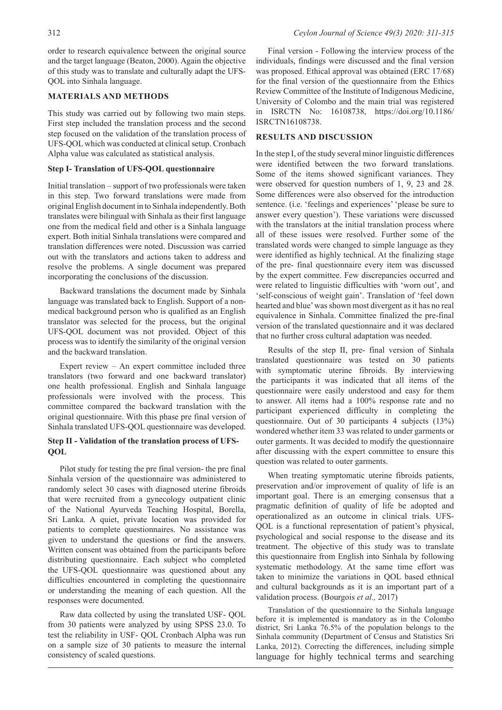order to research equivalence between the original source and the target language (Beaton, 2000). Again the objective of this study was to translate and culturally adapt the UFS-QOL into Sinhala language.

## **MATERIALS AND METHODS**

This study was carried out by following two main steps. First step included the translation process and the second step focused on the validation of the translation process of UFS-QOL which was conducted at clinical setup. Cronbach Alpha value was calculated as statistical analysis.

## **Step I- Translation of UFS-QOL questionnaire**

Initial translation – support of two professionals were taken in this step. Two forward translations were made from original English document in to Sinhala independently. Both translates were bilingual with Sinhala as their first language one from the medical field and other is a Sinhala language expert. Both initial Sinhala translations were compared and translation differences were noted. Discussion was carried out with the translators and actions taken to address and resolve the problems. A single document was prepared incorporating the conclusions of the discussion.

Backward translations the document made by Sinhala language was translated back to English. Support of a nonmedical background person who is qualified as an English translator was selected for the process, but the original UFS-QOL document was not provided. Object of this process was to identify the similarity of the original version and the backward translation.

Expert review – An expert committee included three translators (two forward and one backward translator) one health professional. English and Sinhala language professionals were involved with the process. This committee compared the backward translation with the original questionnaire. With this phase pre final version of Sinhala translated UFS-QOL questionnaire was developed.

## **Step II - Validation of the translation process of UFS-QOL**

Pilot study for testing the pre final version- the pre final Sinhala version of the questionnaire was administered to randomly select 30 cases with diagnosed uterine fibroids that were recruited from a gynecology outpatient clinic of the National Ayurveda Teaching Hospital, Borella, Sri Lanka. A quiet, private location was provided for patients to complete questionnaires. No assistance was given to understand the questions or find the answers. Written consent was obtained from the participants before distributing questionnaire. Each subject who completed the UFS-QOL questionnaire was questioned about any difficulties encountered in completing the questionnaire or understanding the meaning of each question. All the responses were documented.

Raw data collected by using the translated USF- QOL from 30 patients were analyzed by using SPSS 23.0. To test the reliability in USF- QOL Cronbach Alpha was run on a sample size of 30 patients to measure the internal consistency of scaled questions.

Final version - Following the interview process of the individuals, findings were discussed and the final version was proposed. Ethical approval was obtained (ERC 17/68) for the final version of the questionnaire from the Ethics Review Committee of the Institute of Indigenous Medicine, University of Colombo and the main trial was registered in ISRCTN No: 16108738, https://doi.org/10.1186/ ISRCTN16108738.

## **RESULTS AND DISCUSSION**

In the step I, of the study several minor linguistic differences were identified between the two forward translations. Some of the items showed significant variances. They were observed for question numbers of 1, 9, 23 and 28. Some differences were also observed for the introduction sentence. (i.e. 'feelings and experiences' 'please be sure to answer every question'). These variations were discussed with the translators at the initial translation process where all of these issues were resolved. Further some of the translated words were changed to simple language as they were identified as highly technical. At the finalizing stage of the pre- final questionnaire every item was discussed by the expert committee. Few discrepancies occurred and were related to linguistic difficulties with 'worn out', and 'self-conscious of weight gain'. Translation of 'feel down hearted and blue' was shown most divergent as it has no real equivalence in Sinhala. Committee finalized the pre-final version of the translated questionnaire and it was declared that no further cross cultural adaptation was needed.

Results of the step II, pre- final version of Sinhala translated questionnaire was tested on 30 patients with symptomatic uterine fibroids. By interviewing the participants it was indicated that all items of the questionnaire were easily understood and easy for them to answer. All items had a 100% response rate and no participant experienced difficulty in completing the questionnaire. Out of 30 participants 4 subjects (13%) wondered whether item 33 was related to under garments or outer garments. It was decided to modify the questionnaire after discussing with the expert committee to ensure this question was related to outer garments.

When treating symptomatic uterine fibroids patients, preservation and/or improvement of quality of life is an important goal. There is an emerging consensus that a pragmatic definition of quality of life be adopted and operationalized as an outcome in clinical trials. UFS-QOL is a functional representation of patient's physical, psychological and social response to the disease and its treatment. The objective of this study was to translate this questionnaire from English into Sinhala by following systematic methodology. At the same time effort was taken to minimize the variations in QOL based ethnical and cultural backgrounds as it is an important part of a validation process. (Bourgois *et al.,* 2017)

Translation of the questionnaire to the Sinhala language before it is implemented is mandatory as in the Colombo district, Sri Lanka 76.5% of the population belongs to the Sinhala community (Department of Census and Statistics Sri Lanka, 2012). Correcting the differences, including simple language for highly technical terms and searching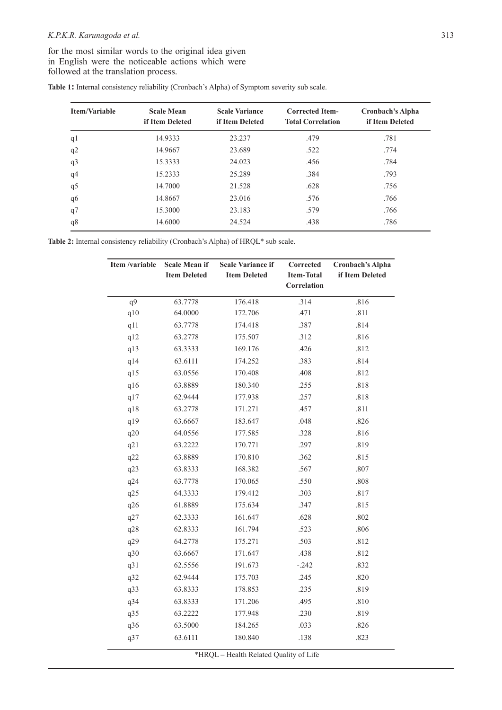## *K.P.K.R. Karunagoda et al.* 313

for the most similar words to the original idea given in English were the noticeable actions which were followed at the translation process.

| Table 1: Internal consistency reliability (Cronbach's Alpha) of Symptom severity sub scale. |  |
|---------------------------------------------------------------------------------------------|--|
|---------------------------------------------------------------------------------------------|--|

| Item/Variable  | <b>Scale Mean</b><br>if Item Deleted | <b>Scale Variance</b><br>if Item Deleted | <b>Corrected Item-</b><br><b>Total Correlation</b> | <b>Cronbach's Alpha</b><br>if Item Deleted |
|----------------|--------------------------------------|------------------------------------------|----------------------------------------------------|--------------------------------------------|
| q <sub>1</sub> | 14.9333                              | 23.237                                   | .479                                               | .781                                       |
| q2             | 14.9667                              | 23.689                                   | .522                                               | .774                                       |
| q <sub>3</sub> | 15.3333                              | 24.023                                   | .456                                               | .784                                       |
| q <sub>4</sub> | 15.2333                              | 25.289                                   | .384                                               | .793                                       |
| q5             | 14.7000                              | 21.528                                   | .628                                               | .756                                       |
| q6             | 14.8667                              | 23.016                                   | .576                                               | .766                                       |
| q7             | 15.3000                              | 23.183                                   | .579                                               | .766                                       |
| q8             | 14.6000                              | 24.524                                   | .438                                               | .786                                       |

**Table 2:** Internal consistency reliability (Cronbach's Alpha) of HRQL\* sub scale.

| Item /variable | <b>Scale Mean if</b> | <b>Scale Variance if</b> | Corrected         | <b>Cronbach's Alpha</b> |
|----------------|----------------------|--------------------------|-------------------|-------------------------|
|                | <b>Item Deleted</b>  | <b>Item Deleted</b>      | <b>Item-Total</b> | if Item Deleted         |
|                |                      |                          | Correlation       |                         |
| q9             | 63.7778              | 176.418                  | .314              | .816                    |
| q10            | 64.0000              | 172.706                  | .471              | .811                    |
| q11            | 63.7778              | 174.418                  | .387              | .814                    |
| q12            | 63.2778              | 175.507                  | .312              | .816                    |
| q13            | 63.3333              | 169.176                  | .426              | .812                    |
| q14            | 63.6111              | 174.252                  | .383              | .814                    |
| q15            | 63.0556              | 170.408                  | .408              | .812                    |
| q16            | 63.8889              | 180.340                  | .255              | .818                    |
| q17            | 62.9444              | 177.938                  | .257              | .818                    |
| q18            | 63.2778              | 171.271                  | .457              | .811                    |
| q19            | 63.6667              | 183.647                  | .048              | .826                    |
| q20            | 64.0556              | 177.585                  | .328              | .816                    |
| q21            | 63.2222              | 170.771                  | .297              | .819                    |
| q22            | 63.8889              | 170.810                  | .362              | .815                    |
| q23            | 63.8333              | 168.382                  | .567              | $.807$                  |
| q24            | 63.7778              | 170.065                  | .550              | .808                    |
| q25            | 64.3333              | 179.412                  | .303              | .817                    |
| q26            | 61.8889              | 175.634                  | .347              | .815                    |
| q27            | 62.3333              | 161.647                  | .628              | .802                    |
| q28            | 62.8333              | 161.794                  | .523              | .806                    |
| q29            | 64.2778              | 175.271                  | .503              | .812                    |
| q30            | 63.6667              | 171.647                  | .438              | .812                    |
| q31            | 62.5556              | 191.673                  | $-.242$           | .832                    |
| q32            | 62.9444              | 175.703                  | .245              | .820                    |
| q33            | 63.8333              | 178.853                  | .235              | .819                    |
| q34            | 63.8333              | 171.206                  | .495              | .810                    |
| q35            | 63.2222              | 177.948                  | .230              | .819                    |
| q36            | 63.5000              | 184.265                  | .033              | .826                    |
| q37            | 63.6111              | 180.840                  | .138              | .823                    |

\*HRQL – Health Related Quality of Life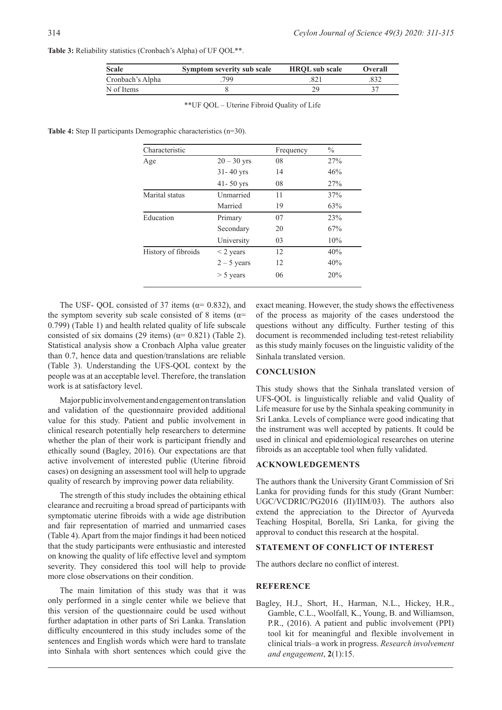|  | Table 3: Reliability statistics (Cronbach's Alpha) of UF QOL**. |
|--|-----------------------------------------------------------------|
|--|-----------------------------------------------------------------|

| <b>Scale</b>     | Symptom severity sub scale | <b>HROL</b> sub scale | <b>Overall</b> |
|------------------|----------------------------|-----------------------|----------------|
| Cronbach's Alpha | 799                        |                       |                |
| N of Items       |                            |                       |                |

\*\*UF QOL – Uterine Fibroid Quality of Life

**Table 4:** Step II participants Demographic characteristics (n=30).

| Characteristic      |               | Frequency | $\frac{0}{0}$ |
|---------------------|---------------|-----------|---------------|
| Age                 | $20 - 30$ yrs | 08        | 27%           |
|                     | $31 - 40$ yrs | 14        | 46%           |
|                     | $41 - 50$ yrs | 08        | 27%           |
| Marital status      | Unmarried     | 11        | 37%           |
|                     | Married       | 19        | 63%           |
| Education           | Primary       | 07        | 23%           |
|                     | Secondary     | 20        | 67%           |
|                     | University    | 03        | 10%           |
| History of fibroids | $<$ 2 years   | 12        | 40%           |
|                     | $2 - 5$ years | 12        | 40%           |
|                     | $>$ 5 years   | 06        | 20%           |

The USF- QOL consisted of 37 items ( $\alpha$ = 0.832), and the symptom severity sub scale consisted of 8 items ( $\alpha$ = 0.799) (Table 1) and health related quality of life subscale consisted of six domains (29 items) ( $\alpha$ = 0.821) (Table 2). Statistical analysis show a Cronbach Alpha value greater than 0.7, hence data and question/translations are reliable (Table 3). Understanding the UFS-QOL context by the people was at an acceptable level. Therefore, the translation work is at satisfactory level.

Major public involvement and engagement on translation and validation of the questionnaire provided additional value for this study. Patient and public involvement in clinical research potentially help researchers to determine whether the plan of their work is participant friendly and ethically sound (Bagley, 2016). Our expectations are that active involvement of interested public (Uterine fibroid cases) on designing an assessment tool will help to upgrade quality of research by improving power data reliability.

The strength of this study includes the obtaining ethical clearance and recruiting a broad spread of participants with symptomatic uterine fibroids with a wide age distribution and fair representation of married and unmarried cases (Table 4). Apart from the major findings it had been noticed that the study participants were enthusiastic and interested on knowing the quality of life effective level and symptom severity. They considered this tool will help to provide more close observations on their condition.

The main limitation of this study was that it was only performed in a single center while we believe that this version of the questionnaire could be used without further adaptation in other parts of Sri Lanka. Translation difficulty encountered in this study includes some of the sentences and English words which were hard to translate into Sinhala with short sentences which could give the

exact meaning. However, the study shows the effectiveness of the process as majority of the cases understood the questions without any difficulty. Further testing of this document is recommended including test-retest reliability as this study mainly focuses on the linguistic validity of the Sinhala translated version.

#### **CONCLUSION**

This study shows that the Sinhala translated version of UFS-QOL is linguistically reliable and valid Quality of Life measure for use by the Sinhala speaking community in Sri Lanka. Levels of compliance were good indicating that the instrument was well accepted by patients. It could be used in clinical and epidemiological researches on uterine fibroids as an acceptable tool when fully validated.

#### **ACKNOWLEDGEMENTS**

The authors thank the University Grant Commission of Sri Lanka for providing funds for this study (Grant Number: UGC/VCDRIC/PG2016 (II)/IIM/03). The authors also extend the appreciation to the Director of Ayurveda Teaching Hospital, Borella, Sri Lanka, for giving the approval to conduct this research at the hospital.

#### **STATEMENT OF CONFLICT OF INTEREST**

The authors declare no conflict of interest.

#### **REFERENCE**

Bagley, H.J., Short, H., Harman, N.L., Hickey, H.R., Gamble, C.L., Woolfall, K., Young, B. and Williamson, P.R., (2016). A patient and public involvement (PPI) tool kit for meaningful and flexible involvement in clinical trials–a work in progress. *Research involvement and engagement*, **2**(1):15.